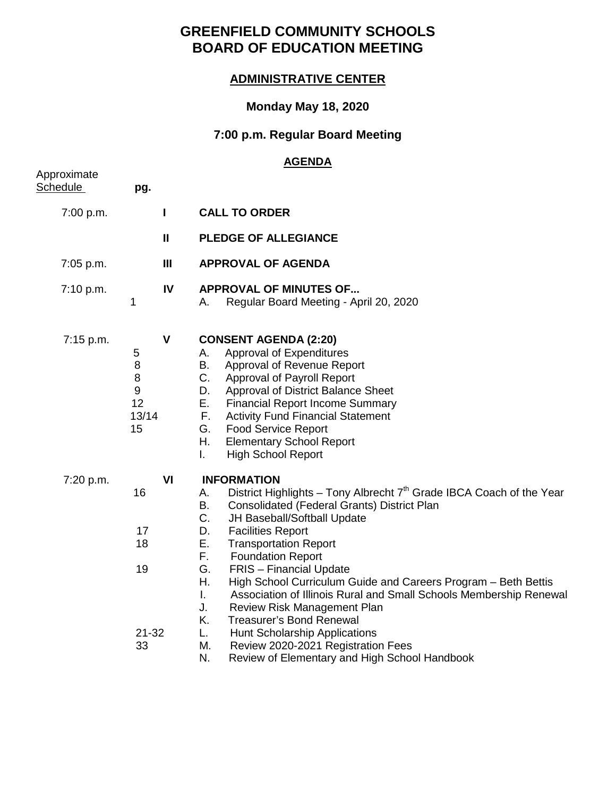# **GREENFIELD COMMUNITY SCHOOLS BOARD OF EDUCATION MEETING**

### **ADMINISTRATIVE CENTER**

### **Monday May 18, 2020**

# **7:00 p.m. Regular Board Meeting**

#### **AGENDA**

| Approximate<br><u>Schedule</u> | pg.                                                       |                    |                                                                                                                                                                                                                                                                                                                                                                                                                                                                                                                                                                                                                                                                                      |
|--------------------------------|-----------------------------------------------------------|--------------------|--------------------------------------------------------------------------------------------------------------------------------------------------------------------------------------------------------------------------------------------------------------------------------------------------------------------------------------------------------------------------------------------------------------------------------------------------------------------------------------------------------------------------------------------------------------------------------------------------------------------------------------------------------------------------------------|
| 7:00 p.m.                      |                                                           | L                  | <b>CALL TO ORDER</b>                                                                                                                                                                                                                                                                                                                                                                                                                                                                                                                                                                                                                                                                 |
|                                |                                                           | $\mathbf{II}$      | <b>PLEDGE OF ALLEGIANCE</b>                                                                                                                                                                                                                                                                                                                                                                                                                                                                                                                                                                                                                                                          |
| 7:05 p.m.                      |                                                           | Ш                  | <b>APPROVAL OF AGENDA</b>                                                                                                                                                                                                                                                                                                                                                                                                                                                                                                                                                                                                                                                            |
| 7:10 p.m.                      | 1                                                         | IV                 | <b>APPROVAL OF MINUTES OF</b><br>Regular Board Meeting - April 20, 2020<br>А.                                                                                                                                                                                                                                                                                                                                                                                                                                                                                                                                                                                                        |
| 7:15 p.m.                      | 5<br>$\, 8$<br>8<br>$\boldsymbol{9}$<br>12<br>13/14<br>15 | $\pmb{\mathsf{V}}$ | <b>CONSENT AGENDA (2:20)</b><br>Approval of Expenditures<br>А.<br>В.<br>Approval of Revenue Report<br>C.<br>Approval of Payroll Report<br>Approval of District Balance Sheet<br>D.<br>Е.<br><b>Financial Report Income Summary</b><br>F.<br><b>Activity Fund Financial Statement</b><br>G.<br><b>Food Service Report</b><br>Η.<br><b>Elementary School Report</b><br><b>High School Report</b><br>L.                                                                                                                                                                                                                                                                                 |
| 7:20 p.m.                      | 16<br>17<br>18<br>19<br>$21 - 32$<br>33                   | VI                 | <b>INFORMATION</b><br>District Highlights - Tony Albrecht 7 <sup>th</sup> Grade IBCA Coach of the Year<br>А.<br>В.<br>Consolidated (Federal Grants) District Plan<br>C.<br>JH Baseball/Softball Update<br>D.<br><b>Facilities Report</b><br>Ε.<br><b>Transportation Report</b><br>F.<br><b>Foundation Report</b><br>G.<br><b>FRIS</b> - Financial Update<br>Η.<br>High School Curriculum Guide and Careers Program - Beth Bettis<br>T.<br>Association of Illinois Rural and Small Schools Membership Renewal<br>J.<br>Review Risk Management Plan<br>Κ.<br><b>Treasurer's Bond Renewal</b><br>L.<br><b>Hunt Scholarship Applications</b><br>М.<br>Review 2020-2021 Registration Fees |
|                                |                                                           |                    | N.<br>Review of Elementary and High School Handbook                                                                                                                                                                                                                                                                                                                                                                                                                                                                                                                                                                                                                                  |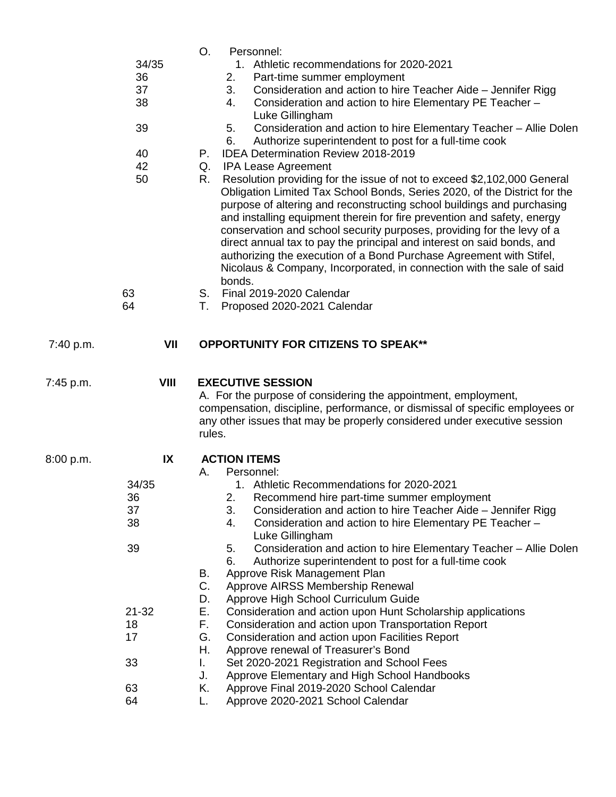| 34/35<br>1. Athletic recommendations for 2020-2021<br>36<br>Part-time summer employment<br>2.<br>37<br>Consideration and action to hire Teacher Aide - Jennifer Rigg<br>3.<br>38<br>Consideration and action to hire Elementary PE Teacher -<br>4.<br>Luke Gillingham<br>39<br>Consideration and action to hire Elementary Teacher - Allie Dolen<br>5.<br>Authorize superintendent to post for a full-time cook<br>6.<br><b>IDEA Determination Review 2018-2019</b><br>40<br>Р.<br>42<br><b>IPA Lease Agreement</b><br>Q.<br>50<br>Resolution providing for the issue of not to exceed \$2,102,000 General<br>R.<br>Obligation Limited Tax School Bonds, Series 2020, of the District for the<br>purpose of altering and reconstructing school buildings and purchasing<br>and installing equipment therein for fire prevention and safety, energy<br>conservation and school security purposes, providing for the levy of a<br>direct annual tax to pay the principal and interest on said bonds, and<br>authorizing the execution of a Bond Purchase Agreement with Stifel,<br>Nicolaus & Company, Incorporated, in connection with the sale of said<br>bonds.<br>63<br>Final 2019-2020 Calendar<br>S.<br>64<br>Т.<br>Proposed 2020-2021 Calendar<br>VII<br><b>OPPORTUNITY FOR CITIZENS TO SPEAK**</b><br>7:40 p.m.<br>VIII<br><b>EXECUTIVE SESSION</b><br>7:45 p.m.<br>A. For the purpose of considering the appointment, employment,<br>compensation, discipline, performance, or dismissal of specific employees or<br>any other issues that may be properly considered under executive session<br>rules.<br>IX<br><b>ACTION ITEMS</b><br>8:00 p.m.<br>Personnel:<br>А.<br>34/35<br>1. Athletic Recommendations for 2020-2021 |
|------------------------------------------------------------------------------------------------------------------------------------------------------------------------------------------------------------------------------------------------------------------------------------------------------------------------------------------------------------------------------------------------------------------------------------------------------------------------------------------------------------------------------------------------------------------------------------------------------------------------------------------------------------------------------------------------------------------------------------------------------------------------------------------------------------------------------------------------------------------------------------------------------------------------------------------------------------------------------------------------------------------------------------------------------------------------------------------------------------------------------------------------------------------------------------------------------------------------------------------------------------------------------------------------------------------------------------------------------------------------------------------------------------------------------------------------------------------------------------------------------------------------------------------------------------------------------------------------------------------------------------------------------------------------------------------------------------------------------------|
|                                                                                                                                                                                                                                                                                                                                                                                                                                                                                                                                                                                                                                                                                                                                                                                                                                                                                                                                                                                                                                                                                                                                                                                                                                                                                                                                                                                                                                                                                                                                                                                                                                                                                                                                    |
|                                                                                                                                                                                                                                                                                                                                                                                                                                                                                                                                                                                                                                                                                                                                                                                                                                                                                                                                                                                                                                                                                                                                                                                                                                                                                                                                                                                                                                                                                                                                                                                                                                                                                                                                    |
|                                                                                                                                                                                                                                                                                                                                                                                                                                                                                                                                                                                                                                                                                                                                                                                                                                                                                                                                                                                                                                                                                                                                                                                                                                                                                                                                                                                                                                                                                                                                                                                                                                                                                                                                    |
|                                                                                                                                                                                                                                                                                                                                                                                                                                                                                                                                                                                                                                                                                                                                                                                                                                                                                                                                                                                                                                                                                                                                                                                                                                                                                                                                                                                                                                                                                                                                                                                                                                                                                                                                    |
|                                                                                                                                                                                                                                                                                                                                                                                                                                                                                                                                                                                                                                                                                                                                                                                                                                                                                                                                                                                                                                                                                                                                                                                                                                                                                                                                                                                                                                                                                                                                                                                                                                                                                                                                    |
|                                                                                                                                                                                                                                                                                                                                                                                                                                                                                                                                                                                                                                                                                                                                                                                                                                                                                                                                                                                                                                                                                                                                                                                                                                                                                                                                                                                                                                                                                                                                                                                                                                                                                                                                    |
|                                                                                                                                                                                                                                                                                                                                                                                                                                                                                                                                                                                                                                                                                                                                                                                                                                                                                                                                                                                                                                                                                                                                                                                                                                                                                                                                                                                                                                                                                                                                                                                                                                                                                                                                    |
|                                                                                                                                                                                                                                                                                                                                                                                                                                                                                                                                                                                                                                                                                                                                                                                                                                                                                                                                                                                                                                                                                                                                                                                                                                                                                                                                                                                                                                                                                                                                                                                                                                                                                                                                    |
|                                                                                                                                                                                                                                                                                                                                                                                                                                                                                                                                                                                                                                                                                                                                                                                                                                                                                                                                                                                                                                                                                                                                                                                                                                                                                                                                                                                                                                                                                                                                                                                                                                                                                                                                    |
|                                                                                                                                                                                                                                                                                                                                                                                                                                                                                                                                                                                                                                                                                                                                                                                                                                                                                                                                                                                                                                                                                                                                                                                                                                                                                                                                                                                                                                                                                                                                                                                                                                                                                                                                    |
|                                                                                                                                                                                                                                                                                                                                                                                                                                                                                                                                                                                                                                                                                                                                                                                                                                                                                                                                                                                                                                                                                                                                                                                                                                                                                                                                                                                                                                                                                                                                                                                                                                                                                                                                    |
|                                                                                                                                                                                                                                                                                                                                                                                                                                                                                                                                                                                                                                                                                                                                                                                                                                                                                                                                                                                                                                                                                                                                                                                                                                                                                                                                                                                                                                                                                                                                                                                                                                                                                                                                    |
|                                                                                                                                                                                                                                                                                                                                                                                                                                                                                                                                                                                                                                                                                                                                                                                                                                                                                                                                                                                                                                                                                                                                                                                                                                                                                                                                                                                                                                                                                                                                                                                                                                                                                                                                    |
|                                                                                                                                                                                                                                                                                                                                                                                                                                                                                                                                                                                                                                                                                                                                                                                                                                                                                                                                                                                                                                                                                                                                                                                                                                                                                                                                                                                                                                                                                                                                                                                                                                                                                                                                    |
|                                                                                                                                                                                                                                                                                                                                                                                                                                                                                                                                                                                                                                                                                                                                                                                                                                                                                                                                                                                                                                                                                                                                                                                                                                                                                                                                                                                                                                                                                                                                                                                                                                                                                                                                    |
|                                                                                                                                                                                                                                                                                                                                                                                                                                                                                                                                                                                                                                                                                                                                                                                                                                                                                                                                                                                                                                                                                                                                                                                                                                                                                                                                                                                                                                                                                                                                                                                                                                                                                                                                    |
|                                                                                                                                                                                                                                                                                                                                                                                                                                                                                                                                                                                                                                                                                                                                                                                                                                                                                                                                                                                                                                                                                                                                                                                                                                                                                                                                                                                                                                                                                                                                                                                                                                                                                                                                    |
| Recommend hire part-time summer employment<br>36<br>2.                                                                                                                                                                                                                                                                                                                                                                                                                                                                                                                                                                                                                                                                                                                                                                                                                                                                                                                                                                                                                                                                                                                                                                                                                                                                                                                                                                                                                                                                                                                                                                                                                                                                             |
| 37<br>3.<br>Consideration and action to hire Teacher Aide - Jennifer Rigg                                                                                                                                                                                                                                                                                                                                                                                                                                                                                                                                                                                                                                                                                                                                                                                                                                                                                                                                                                                                                                                                                                                                                                                                                                                                                                                                                                                                                                                                                                                                                                                                                                                          |
| 38<br>4.<br>Consideration and action to hire Elementary PE Teacher -<br>Luke Gillingham                                                                                                                                                                                                                                                                                                                                                                                                                                                                                                                                                                                                                                                                                                                                                                                                                                                                                                                                                                                                                                                                                                                                                                                                                                                                                                                                                                                                                                                                                                                                                                                                                                            |
| 39<br>Consideration and action to hire Elementary Teacher - Allie Dolen<br>5.<br>6.<br>Authorize superintendent to post for a full-time cook                                                                                                                                                                                                                                                                                                                                                                                                                                                                                                                                                                                                                                                                                                                                                                                                                                                                                                                                                                                                                                                                                                                                                                                                                                                                                                                                                                                                                                                                                                                                                                                       |
| Approve Risk Management Plan<br>В.                                                                                                                                                                                                                                                                                                                                                                                                                                                                                                                                                                                                                                                                                                                                                                                                                                                                                                                                                                                                                                                                                                                                                                                                                                                                                                                                                                                                                                                                                                                                                                                                                                                                                                 |
| C.<br>Approve AIRSS Membership Renewal                                                                                                                                                                                                                                                                                                                                                                                                                                                                                                                                                                                                                                                                                                                                                                                                                                                                                                                                                                                                                                                                                                                                                                                                                                                                                                                                                                                                                                                                                                                                                                                                                                                                                             |
| Approve High School Curriculum Guide<br>D.                                                                                                                                                                                                                                                                                                                                                                                                                                                                                                                                                                                                                                                                                                                                                                                                                                                                                                                                                                                                                                                                                                                                                                                                                                                                                                                                                                                                                                                                                                                                                                                                                                                                                         |
| $21 - 32$<br>Е.<br>Consideration and action upon Hunt Scholarship applications                                                                                                                                                                                                                                                                                                                                                                                                                                                                                                                                                                                                                                                                                                                                                                                                                                                                                                                                                                                                                                                                                                                                                                                                                                                                                                                                                                                                                                                                                                                                                                                                                                                     |
| F.<br>18<br>Consideration and action upon Transportation Report                                                                                                                                                                                                                                                                                                                                                                                                                                                                                                                                                                                                                                                                                                                                                                                                                                                                                                                                                                                                                                                                                                                                                                                                                                                                                                                                                                                                                                                                                                                                                                                                                                                                    |
| 17<br>G.<br>Consideration and action upon Facilities Report                                                                                                                                                                                                                                                                                                                                                                                                                                                                                                                                                                                                                                                                                                                                                                                                                                                                                                                                                                                                                                                                                                                                                                                                                                                                                                                                                                                                                                                                                                                                                                                                                                                                        |
|                                                                                                                                                                                                                                                                                                                                                                                                                                                                                                                                                                                                                                                                                                                                                                                                                                                                                                                                                                                                                                                                                                                                                                                                                                                                                                                                                                                                                                                                                                                                                                                                                                                                                                                                    |
|                                                                                                                                                                                                                                                                                                                                                                                                                                                                                                                                                                                                                                                                                                                                                                                                                                                                                                                                                                                                                                                                                                                                                                                                                                                                                                                                                                                                                                                                                                                                                                                                                                                                                                                                    |
| Η.<br>Approve renewal of Treasurer's Bond                                                                                                                                                                                                                                                                                                                                                                                                                                                                                                                                                                                                                                                                                                                                                                                                                                                                                                                                                                                                                                                                                                                                                                                                                                                                                                                                                                                                                                                                                                                                                                                                                                                                                          |
| 33<br>Set 2020-2021 Registration and School Fees<br>L.                                                                                                                                                                                                                                                                                                                                                                                                                                                                                                                                                                                                                                                                                                                                                                                                                                                                                                                                                                                                                                                                                                                                                                                                                                                                                                                                                                                                                                                                                                                                                                                                                                                                             |
| J.<br>Approve Elementary and High School Handbooks<br>63<br>Approve Final 2019-2020 School Calendar<br>Κ.                                                                                                                                                                                                                                                                                                                                                                                                                                                                                                                                                                                                                                                                                                                                                                                                                                                                                                                                                                                                                                                                                                                                                                                                                                                                                                                                                                                                                                                                                                                                                                                                                          |